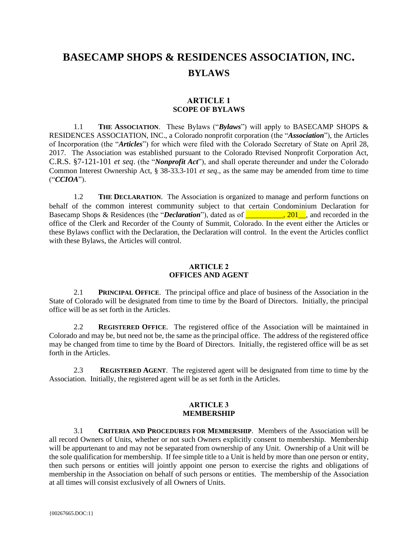# **BASECAMP SHOPS & RESIDENCES ASSOCIATION, INC. BYLAWS**

# **ARTICLE 1 SCOPE OF BYLAWS**

1.1 **THE ASSOCIATION**. These Bylaws ("*Bylaws*") will apply to BASECAMP SHOPS & RESIDENCES ASSOCIATION, INC., a Colorado nonprofit corporation (the "*Association*"), the Articles of Incorporation (the "*Articles*") for which were filed with the Colorado Secretary of State on April 28, 2017. The Association was established pursuant to the Colorado Rtevised Nonprofit Corporation Act, C.R.S. §7-121-101 *et seq*. (the "*Nonprofit Act*"), and shall operate thereunder and under the Colorado Common Interest Ownership Act, § 38-33.3-101 *et seq*., as the same may be amended from time to time ("*CCIOA*").

1.2 **THE DECLARATION**. The Association is organized to manage and perform functions on behalf of the common interest community subject to that certain Condominium Declaration for Basecamp Shops & Residences (the "*Declaration*"), dated as of **\_\_\_\_\_\_\_\_\_\_, 201\_\_**, and recorded in the office of the Clerk and Recorder of the County of Summit, Colorado. In the event either the Articles or these Bylaws conflict with the Declaration, the Declaration will control. In the event the Articles conflict with these Bylaws, the Articles will control.

## **ARTICLE 2 OFFICES AND AGENT**

2.1 **PRINCIPAL OFFICE**. The principal office and place of business of the Association in the State of Colorado will be designated from time to time by the Board of Directors. Initially, the principal office will be as set forth in the Articles.

2.2 **REGISTERED OFFICE**. The registered office of the Association will be maintained in Colorado and may be, but need not be, the same as the principal office. The address of the registered office may be changed from time to time by the Board of Directors. Initially, the registered office will be as set forth in the Articles.

2.3 **REGISTERED AGENT**. The registered agent will be designated from time to time by the Association. Initially, the registered agent will be as set forth in the Articles.

## **ARTICLE 3 MEMBERSHIP**

3.1 **CRITERIA AND PROCEDURES FOR MEMBERSHIP**. Members of the Association will be all record Owners of Units, whether or not such Owners explicitly consent to membership. Membership will be appurtenant to and may not be separated from ownership of any Unit. Ownership of a Unit will be the sole qualification for membership. If fee simple title to a Unit is held by more than one person or entity, then such persons or entities will jointly appoint one person to exercise the rights and obligations of membership in the Association on behalf of such persons or entities. The membership of the Association at all times will consist exclusively of all Owners of Units.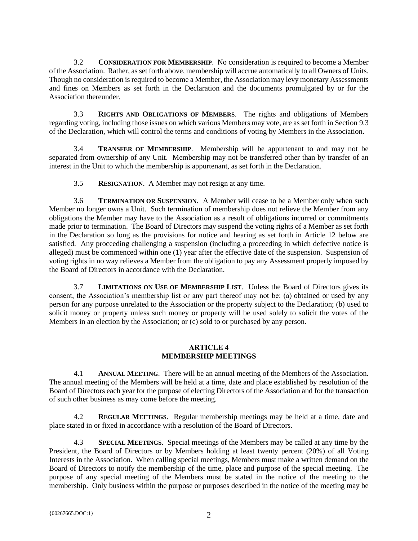3.2 **CONSIDERATION FOR MEMBERSHIP**. No consideration is required to become a Member of the Association. Rather, as set forth above, membership will accrue automatically to all Owners of Units. Though no consideration is required to become a Member, the Association may levy monetary Assessments and fines on Members as set forth in the Declaration and the documents promulgated by or for the Association thereunder.

3.3 **RIGHTS AND OBLIGATIONS OF MEMBERS**. The rights and obligations of Members regarding voting, including those issues on which various Members may vote, are as set forth in Section 9.3 of the Declaration, which will control the terms and conditions of voting by Members in the Association.

3.4 **TRANSFER OF MEMBERSHIP**. Membership will be appurtenant to and may not be separated from ownership of any Unit. Membership may not be transferred other than by transfer of an interest in the Unit to which the membership is appurtenant, as set forth in the Declaration.

3.5 **RESIGNATION**. A Member may not resign at any time.

3.6 **TERMINATION OR SUSPENSION**. A Member will cease to be a Member only when such Member no longer owns a Unit. Such termination of membership does not relieve the Member from any obligations the Member may have to the Association as a result of obligations incurred or commitments made prior to termination. The Board of Directors may suspend the voting rights of a Member as set forth in the Declaration so long as the provisions for notice and hearing as set forth in Article 12 below are satisfied. Any proceeding challenging a suspension (including a proceeding in which defective notice is alleged) must be commenced within one (1) year after the effective date of the suspension. Suspension of voting rights in no way relieves a Member from the obligation to pay any Assessment properly imposed by the Board of Directors in accordance with the Declaration.

3.7 **LIMITATIONS ON USE OF MEMBERSHIP LIST**. Unless the Board of Directors gives its consent, the Association's membership list or any part thereof may not be: (a) obtained or used by any person for any purpose unrelated to the Association or the property subject to the Declaration; (b) used to solicit money or property unless such money or property will be used solely to solicit the votes of the Members in an election by the Association; or (c) sold to or purchased by any person.

# **ARTICLE 4 MEMBERSHIP MEETINGS**

4.1 **ANNUAL MEETING**. There will be an annual meeting of the Members of the Association. The annual meeting of the Members will be held at a time, date and place established by resolution of the Board of Directors each year for the purpose of electing Directors of the Association and for the transaction of such other business as may come before the meeting.

4.2 **REGULAR MEETINGS**. Regular membership meetings may be held at a time, date and place stated in or fixed in accordance with a resolution of the Board of Directors.

4.3 **SPECIAL MEETINGS**. Special meetings of the Members may be called at any time by the President, the Board of Directors or by Members holding at least twenty percent (20%) of all Voting Interests in the Association. When calling special meetings, Members must make a written demand on the Board of Directors to notify the membership of the time, place and purpose of the special meeting. The purpose of any special meeting of the Members must be stated in the notice of the meeting to the membership. Only business within the purpose or purposes described in the notice of the meeting may be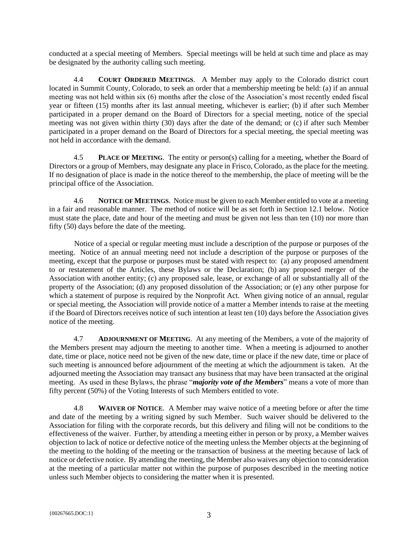conducted at a special meeting of Members. Special meetings will be held at such time and place as may be designated by the authority calling such meeting.

4.4 **COURT ORDERED MEETINGS**. A Member may apply to the Colorado district court located in Summit County, Colorado, to seek an order that a membership meeting be held: (a) if an annual meeting was not held within six (6) months after the close of the Association's most recently ended fiscal year or fifteen (15) months after its last annual meeting, whichever is earlier; (b) if after such Member participated in a proper demand on the Board of Directors for a special meeting, notice of the special meeting was not given within thirty (30) days after the date of the demand; or (c) if after such Member participated in a proper demand on the Board of Directors for a special meeting, the special meeting was not held in accordance with the demand.

4.5 **PLACE OF MEETING**. The entity or person(s) calling for a meeting, whether the Board of Directors or a group of Members, may designate any place in Frisco, Colorado, as the place for the meeting. If no designation of place is made in the notice thereof to the membership, the place of meeting will be the principal office of the Association.

<span id="page-2-0"></span>4.6 **NOTICE OF MEETINGS**. Notice must be given to each Member entitled to vote at a meeting in a fair and reasonable manner. The method of notice will be as set forth in Section [12.1](#page-13-0) below. Notice must state the place, date and hour of the meeting and must be given not less than ten (10) nor more than fifty (50) days before the date of the meeting.

Notice of a special or regular meeting must include a description of the purpose or purposes of the meeting. Notice of an annual meeting need not include a description of the purpose or purposes of the meeting, except that the purpose or purposes must be stated with respect to: (a) any proposed amendment to or restatement of the Articles, these Bylaws or the Declaration; (b) any proposed merger of the Association with another entity; (c) any proposed sale, lease, or exchange of all or substantially all of the property of the Association; (d) any proposed dissolution of the Association; or (e) any other purpose for which a statement of purpose is required by the Nonprofit Act. When giving notice of an annual, regular or special meeting, the Association will provide notice of a matter a Member intends to raise at the meeting if the Board of Directors receives notice of such intention at least ten (10) days before the Association gives notice of the meeting.

4.7 **ADJOURNMENT OF MEETING**. At any meeting of the Members, a vote of the majority of the Members present may adjourn the meeting to another time. When a meeting is adjourned to another date, time or place, notice need not be given of the new date, time or place if the new date, time or place of such meeting is announced before adjournment of the meeting at which the adjournment is taken. At the adjourned meeting the Association may transact any business that may have been transacted at the original meeting. As used in these Bylaws, the phrase "*majority vote of the Members*" means a vote of more than fifty percent (50%) of the Voting Interests of such Members entitled to vote.

4.8 **WAIVER OF NOTICE**. A Member may waive notice of a meeting before or after the time and date of the meeting by a writing signed by such Member. Such waiver should be delivered to the Association for filing with the corporate records, but this delivery and filing will not be conditions to the effectiveness of the waiver. Further, by attending a meeting either in person or by proxy, a Member waives objection to lack of notice or defective notice of the meeting unless the Member objects at the beginning of the meeting to the holding of the meeting or the transaction of business at the meeting because of lack of notice or defective notice. By attending the meeting, the Member also waives any objection to consideration at the meeting of a particular matter not within the purpose of purposes described in the meeting notice unless such Member objects to considering the matter when it is presented.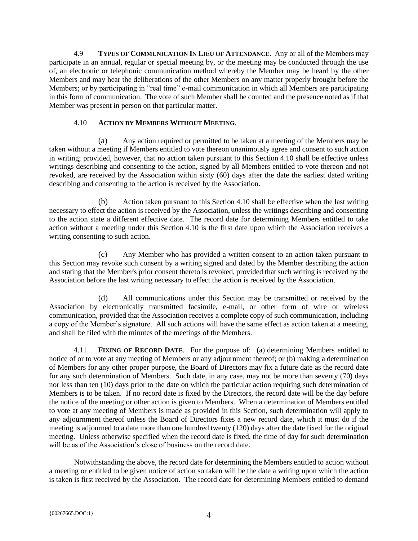4.9 **TYPES OF COMMUNICATION IN LIEU OF ATTENDANCE**. Any or all of the Members may participate in an annual, regular or special meeting by, or the meeting may be conducted through the use of, an electronic or telephonic communication method whereby the Member may be heard by the other Members and may hear the deliberations of the other Members on any matter properly brought before the Members; or by participating in "real time" e-mail communication in which all Members are participating in this form of communication. The vote of such Member shall be counted and the presence noted as if that Member was present in person on that particular matter.

## 4.10 **ACTION BY MEMBERS WITHOUT MEETING**.

<span id="page-3-0"></span>(a) Any action required or permitted to be taken at a meeting of the Members may be taken without a meeting if Members entitled to vote thereon unanimously agree and consent to such action in writing; provided, however, that no action taken pursuant to this Section [4.10](#page-3-0) shall be effective unless writings describing and consenting to the action, signed by all Members entitled to vote thereon and not revoked, are received by the Association within sixty (60) days after the date the earliest dated writing describing and consenting to the action is received by the Association.

(b) Action taken pursuant to this Section [4.10](#page-3-0) shall be effective when the last writing necessary to effect the action is received by the Association, unless the writings describing and consenting to the action state a different effective date. The record date for determining Members entitled to take action without a meeting under this Section [4.10](#page-3-0) is the first date upon which the Association receives a writing consenting to such action.

(c) Any Member who has provided a written consent to an action taken pursuant to this Section may revoke such consent by a writing signed and dated by the Member describing the action and stating that the Member's prior consent thereto is revoked, provided that such writing is received by the Association before the last writing necessary to effect the action is received by the Association.

(d) All communications under this Section may be transmitted or received by the Association by electronically transmitted facsimile, e-mail, or other form of wire or wireless communication, provided that the Association receives a complete copy of such communication, including a copy of the Member's signature. All such actions will have the same effect as action taken at a meeting, and shall be filed with the minutes of the meetings of the Members.

4.11 **FIXING OF RECORD DATE**. For the purpose of: (a) determining Members entitled to notice of or to vote at any meeting of Members or any adjournment thereof; or (b) making a determination of Members for any other proper purpose, the Board of Directors may fix a future date as the record date for any such determination of Members. Such date, in any case, may not be more than seventy (70) days nor less than ten (10) days prior to the date on which the particular action requiring such determination of Members is to be taken. If no record date is fixed by the Directors, the record date will be the day before the notice of the meeting or other action is given to Members. When a determination of Members entitled to vote at any meeting of Members is made as provided in this Section, such determination will apply to any adjournment thereof unless the Board of Directors fixes a new record date, which it must do if the meeting is adjourned to a date more than one hundred twenty (120) days after the date fixed for the original meeting. Unless otherwise specified when the record date is fixed, the time of day for such determination will be as of the Association's close of business on the record date.

Notwithstanding the above, the record date for determining the Members entitled to action without a meeting or entitled to be given notice of action so taken will be the date a writing upon which the action is taken is first received by the Association. The record date for determining Members entitled to demand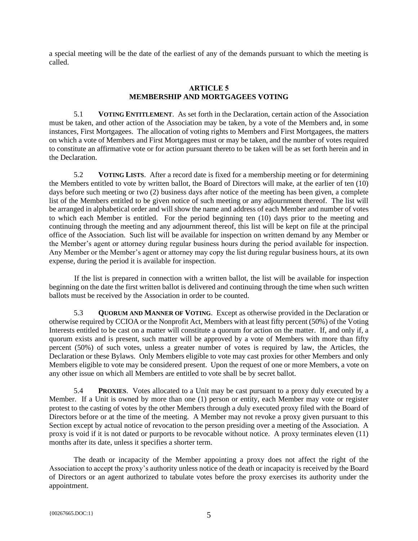a special meeting will be the date of the earliest of any of the demands pursuant to which the meeting is called.

# **ARTICLE 5 MEMBERSHIP AND MORTGAGEES VOTING**

5.1 **VOTING ENTITLEMENT**. As set forth in the Declaration, certain action of the Association must be taken, and other action of the Association may be taken, by a vote of the Members and, in some instances, First Mortgagees. The allocation of voting rights to Members and First Mortgagees, the matters on which a vote of Members and First Mortgagees must or may be taken, and the number of votes required to constitute an affirmative vote or for action pursuant thereto to be taken will be as set forth herein and in the Declaration.

5.2 **VOTING LISTS**. After a record date is fixed for a membership meeting or for determining the Members entitled to vote by written ballot, the Board of Directors will make, at the earlier of ten (10) days before such meeting or two (2) business days after notice of the meeting has been given, a complete list of the Members entitled to be given notice of such meeting or any adjournment thereof. The list will be arranged in alphabetical order and will show the name and address of each Member and number of votes to which each Member is entitled. For the period beginning ten (10) days prior to the meeting and continuing through the meeting and any adjournment thereof, this list will be kept on file at the principal office of the Association. Such list will be available for inspection on written demand by any Member or the Member's agent or attorney during regular business hours during the period available for inspection. Any Member or the Member's agent or attorney may copy the list during regular business hours, at its own expense, during the period it is available for inspection.

If the list is prepared in connection with a written ballot, the list will be available for inspection beginning on the date the first written ballot is delivered and continuing through the time when such written ballots must be received by the Association in order to be counted.

5.3 **QUORUM AND MANNER OF VOTING**. Except as otherwise provided in the Declaration or otherwise required by CCIOA or the Nonprofit Act, Members with at least fifty percent (50%) of the Voting Interests entitled to be cast on a matter will constitute a quorum for action on the matter. If, and only if, a quorum exists and is present, such matter will be approved by a vote of Members with more than fifty percent (50%) of such votes, unless a greater number of votes is required by law, the Articles, the Declaration or these Bylaws. Only Members eligible to vote may cast proxies for other Members and only Members eligible to vote may be considered present. Upon the request of one or more Members, a vote on any other issue on which all Members are entitled to vote shall be by secret ballot.

5.4 **PROXIES**. Votes allocated to a Unit may be cast pursuant to a proxy duly executed by a Member. If a Unit is owned by more than one (1) person or entity, each Member may vote or register protest to the casting of votes by the other Members through a duly executed proxy filed with the Board of Directors before or at the time of the meeting. A Member may not revoke a proxy given pursuant to this Section except by actual notice of revocation to the person presiding over a meeting of the Association. A proxy is void if it is not dated or purports to be revocable without notice. A proxy terminates eleven (11) months after its date, unless it specifies a shorter term.

The death or incapacity of the Member appointing a proxy does not affect the right of the Association to accept the proxy's authority unless notice of the death or incapacity is received by the Board of Directors or an agent authorized to tabulate votes before the proxy exercises its authority under the appointment.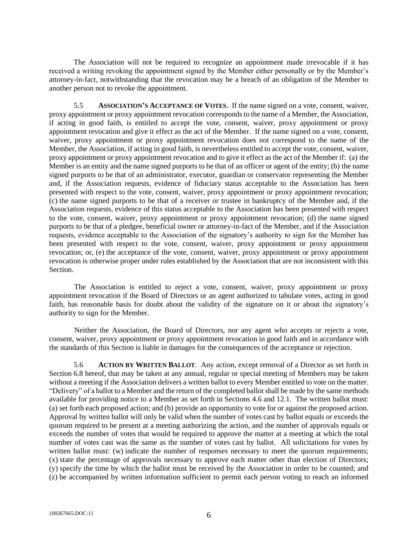The Association will not be required to recognize an appointment made irrevocable if it has received a writing revoking the appointment signed by the Member either personally or by the Member's attorney-in-fact, notwithstanding that the revocation may be a breach of an obligation of the Member to another person not to revoke the appointment.

5.5 **ASSOCIATION'S ACCEPTANCE OF VOTES**. If the name signed on a vote, consent, waiver, proxy appointment or proxy appointment revocation corresponds to the name of a Member, the Association, if acting in good faith, is entitled to accept the vote, consent, waiver, proxy appointment or proxy appointment revocation and give it effect as the act of the Member. If the name signed on a vote, consent, waiver, proxy appointment or proxy appointment revocation does not correspond to the name of the Member, the Association, if acting in good faith, is nevertheless entitled to accept the vote, consent, waiver, proxy appointment or proxy appointment revocation and to give it effect as the act of the Member if: (a) the Member is an entity and the name signed purports to be that of an officer or agent of the entity; (b) the name signed purports to be that of an administrator, executor, guardian or conservator representing the Member and, if the Association requests, evidence of fiduciary status acceptable to the Association has been presented with respect to the vote, consent, waiver, proxy appointment or proxy appointment revocation; (c) the name signed purports to be that of a receiver or trustee in bankruptcy of the Member and, if the Association requests, evidence of this status acceptable to the Association has been presented with respect to the vote, consent, waiver, proxy appointment or proxy appointment revocation; (d) the name signed purports to be that of a pledgee, beneficial owner or attorney-in-fact of the Member, and if the Association requests, evidence acceptable to the Association of the signatory's authority to sign for the Member has been presented with respect to the vote, consent, waiver, proxy appointment or proxy appointment revocation; or, (e) the acceptance of the vote, consent, waiver, proxy appointment or proxy appointment revocation is otherwise proper under rules established by the Association that are not inconsistent with this **Section** 

The Association is entitled to reject a vote, consent, waiver, proxy appointment or proxy appointment revocation if the Board of Directors or an agent authorized to tabulate votes, acting in good faith, has reasonable basis for doubt about the validity of the signature on it or about the signatory's authority to sign for the Member.

Neither the Association, the Board of Directors, nor any agent who accepts or rejects a vote, consent, waiver, proxy appointment or proxy appointment revocation in good faith and in accordance with the standards of this Section is liable in damages for the consequences of the acceptance or rejection.

<span id="page-5-0"></span>5.6 **ACTION BY WRITTEN BALLOT**. Any action, except removal of a Director as set forth in Section [6.8](#page-7-0) hereof, that may be taken at any annual, regular or special meeting of Members may be taken without a meeting if the Association delivers a written ballot to every Member entitled to vote on the matter. "Delivery" of a ballot to a Member and the return of the completed ballot shall be made by the same methods available for providing notice to a Member as set forth in Sections [4.6](#page-2-0) and [12.1.](#page-13-0) The written ballot must: (a) set forth each proposed action; and (b) provide an opportunity to vote for or against the proposed action. Approval by written ballot will only be valid when the number of votes cast by ballot equals or exceeds the quorum required to be present at a meeting authorizing the action, and the number of approvals equals or exceeds the number of votes that would be required to approve the matter at a meeting at which the total number of votes cast was the same as the number of votes cast by ballot. All solicitations for votes by written ballot must: (w) indicate the number of responses necessary to meet the quorum requirements; (x) state the percentage of approvals necessary to approve each matter other than election of Directors; (y) specify the time by which the ballot must be received by the Association in order to be counted; and (z) be accompanied by written information sufficient to permit each person voting to reach an informed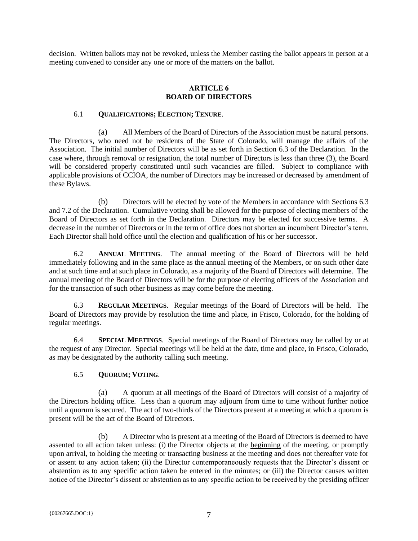decision. Written ballots may not be revoked, unless the Member casting the ballot appears in person at a meeting convened to consider any one or more of the matters on the ballot.

## **ARTICLE 6 BOARD OF DIRECTORS**

## 6.1 **QUALIFICATIONS; ELECTION; TENURE**.

(a) All Members of the Board of Directors of the Association must be natural persons. The Directors, who need not be residents of the State of Colorado, will manage the affairs of the Association. The initial number of Directors will be as set forth in Section 6.3 of the Declaration. In the case where, through removal or resignation, the total number of Directors is less than three (3), the Board will be considered properly constituted until such vacancies are filled. Subject to compliance with applicable provisions of CCIOA, the number of Directors may be increased or decreased by amendment of these Bylaws.

(b) Directors will be elected by vote of the Members in accordance with Sections 6.3 and 7.2 of the Declaration. Cumulative voting shall be allowed for the purpose of electing members of the Board of Directors as set forth in the Declaration. Directors may be elected for successive terms. A decrease in the number of Directors or in the term of office does not shorten an incumbent Director's term. Each Director shall hold office until the election and qualification of his or her successor.

6.2 **ANNUAL MEETING**. The annual meeting of the Board of Directors will be held immediately following and in the same place as the annual meeting of the Members, or on such other date and at such time and at such place in Colorado, as a majority of the Board of Directors will determine. The annual meeting of the Board of Directors will be for the purpose of electing officers of the Association and for the transaction of such other business as may come before the meeting.

6.3 **REGULAR MEETINGS**. Regular meetings of the Board of Directors will be held. The Board of Directors may provide by resolution the time and place, in Frisco, Colorado, for the holding of regular meetings.

6.4 **SPECIAL MEETINGS**. Special meetings of the Board of Directors may be called by or at the request of any Director. Special meetings will be held at the date, time and place, in Frisco, Colorado, as may be designated by the authority calling such meeting.

# 6.5 **QUORUM; VOTING**.

(a) A quorum at all meetings of the Board of Directors will consist of a majority of the Directors holding office. Less than a quorum may adjourn from time to time without further notice until a quorum is secured. The act of two-thirds of the Directors present at a meeting at which a quorum is present will be the act of the Board of Directors.

(b) A Director who is present at a meeting of the Board of Directors is deemed to have assented to all action taken unless: (i) the Director objects at the beginning of the meeting, or promptly upon arrival, to holding the meeting or transacting business at the meeting and does not thereafter vote for or assent to any action taken; (ii) the Director contemporaneously requests that the Director's dissent or abstention as to any specific action taken be entered in the minutes; or (iii) the Director causes written notice of the Director's dissent or abstention as to any specific action to be received by the presiding officer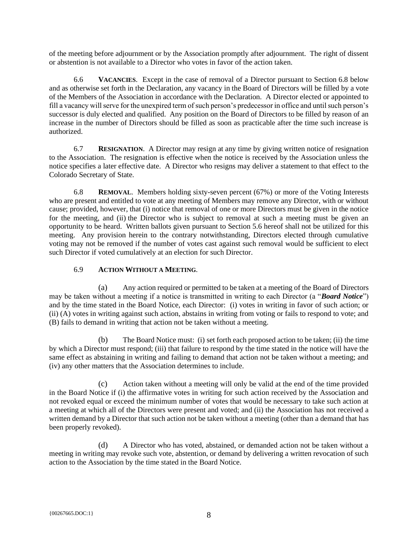of the meeting before adjournment or by the Association promptly after adjournment. The right of dissent or abstention is not available to a Director who votes in favor of the action taken.

6.6 **VACANCIES**. Except in the case of removal of a Director pursuant to Section [6.8](#page-7-0) below and as otherwise set forth in the Declaration, any vacancy in the Board of Directors will be filled by a vote of the Members of the Association in accordance with the Declaration. A Director elected or appointed to fill a vacancy will serve for the unexpired term of such person's predecessor in office and until such person's successor is duly elected and qualified. Any position on the Board of Directors to be filled by reason of an increase in the number of Directors should be filled as soon as practicable after the time such increase is authorized.

6.7 **RESIGNATION**. A Director may resign at any time by giving written notice of resignation to the Association. The resignation is effective when the notice is received by the Association unless the notice specifies a later effective date. A Director who resigns may deliver a statement to that effect to the Colorado Secretary of State.

<span id="page-7-0"></span>6.8 **REMOVAL**. Members holding sixty-seven percent (67%) or more of the Voting Interests who are present and entitled to vote at any meeting of Members may remove any Director, with or without cause; provided, however, that (i) notice that removal of one or more Directors must be given in the notice for the meeting, and (ii) the Director who is subject to removal at such a meeting must be given an opportunity to be heard. Written ballots given pursuant to Section [5.6](#page-5-0) hereof shall not be utilized for this meeting. Any provision herein to the contrary notwithstanding, Directors elected through cumulative voting may not be removed if the number of votes cast against such removal would be sufficient to elect such Director if voted cumulatively at an election for such Director.

# 6.9 **ACTION WITHOUT A MEETING**.

(a) Any action required or permitted to be taken at a meeting of the Board of Directors may be taken without a meeting if a notice is transmitted in writing to each Director (a "*Board Notice*") and by the time stated in the Board Notice, each Director: (i) votes in writing in favor of such action; or (ii) (A) votes in writing against such action, abstains in writing from voting or fails to respond to vote; and (B) fails to demand in writing that action not be taken without a meeting.

(b) The Board Notice must: (i) set forth each proposed action to be taken; (ii) the time by which a Director must respond; (iii) that failure to respond by the time stated in the notice will have the same effect as abstaining in writing and failing to demand that action not be taken without a meeting; and (iv) any other matters that the Association determines to include.

(c) Action taken without a meeting will only be valid at the end of the time provided in the Board Notice if (i) the affirmative votes in writing for such action received by the Association and not revoked equal or exceed the minimum number of votes that would be necessary to take such action at a meeting at which all of the Directors were present and voted; and (ii) the Association has not received a written demand by a Director that such action not be taken without a meeting (other than a demand that has been properly revoked).

(d) A Director who has voted, abstained, or demanded action not be taken without a meeting in writing may revoke such vote, abstention, or demand by delivering a written revocation of such action to the Association by the time stated in the Board Notice.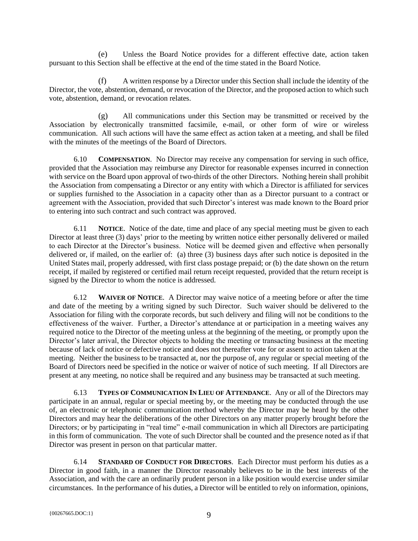(e) Unless the Board Notice provides for a different effective date, action taken pursuant to this Section shall be effective at the end of the time stated in the Board Notice.

(f) A written response by a Director under this Section shall include the identity of the Director, the vote, abstention, demand, or revocation of the Director, and the proposed action to which such vote, abstention, demand, or revocation relates.

(g) All communications under this Section may be transmitted or received by the Association by electronically transmitted facsimile, e-mail, or other form of wire or wireless communication. All such actions will have the same effect as action taken at a meeting, and shall be filed with the minutes of the meetings of the Board of Directors.

6.10 **COMPENSATION**. No Director may receive any compensation for serving in such office, provided that the Association may reimburse any Director for reasonable expenses incurred in connection with service on the Board upon approval of two-thirds of the other Directors. Nothing herein shall prohibit the Association from compensating a Director or any entity with which a Director is affiliated for services or supplies furnished to the Association in a capacity other than as a Director pursuant to a contract or agreement with the Association, provided that such Director's interest was made known to the Board prior to entering into such contract and such contract was approved.

6.11 **NOTICE**. Notice of the date, time and place of any special meeting must be given to each Director at least three (3) days' prior to the meeting by written notice either personally delivered or mailed to each Director at the Director's business. Notice will be deemed given and effective when personally delivered or, if mailed, on the earlier of: (a) three (3) business days after such notice is deposited in the United States mail, properly addressed, with first class postage prepaid; or (b) the date shown on the return receipt, if mailed by registered or certified mail return receipt requested, provided that the return receipt is signed by the Director to whom the notice is addressed.

6.12 **WAIVER OF NOTICE**. A Director may waive notice of a meeting before or after the time and date of the meeting by a writing signed by such Director. Such waiver should be delivered to the Association for filing with the corporate records, but such delivery and filing will not be conditions to the effectiveness of the waiver. Further, a Director's attendance at or participation in a meeting waives any required notice to the Director of the meeting unless at the beginning of the meeting, or promptly upon the Director's later arrival, the Director objects to holding the meeting or transacting business at the meeting because of lack of notice or defective notice and does not thereafter vote for or assent to action taken at the meeting. Neither the business to be transacted at, nor the purpose of, any regular or special meeting of the Board of Directors need be specified in the notice or waiver of notice of such meeting. If all Directors are present at any meeting, no notice shall be required and any business may be transacted at such meeting.

6.13 **TYPES OF COMMUNICATION IN LIEU OF ATTENDANCE**. Any or all of the Directors may participate in an annual, regular or special meeting by, or the meeting may be conducted through the use of, an electronic or telephonic communication method whereby the Director may be heard by the other Directors and may hear the deliberations of the other Directors on any matter properly brought before the Directors; or by participating in "real time" e-mail communication in which all Directors are participating in this form of communication. The vote of such Director shall be counted and the presence noted as if that Director was present in person on that particular matter.

6.14 **STANDARD OF CONDUCT FOR DIRECTORS**. Each Director must perform his duties as a Director in good faith, in a manner the Director reasonably believes to be in the best interests of the Association, and with the care an ordinarily prudent person in a like position would exercise under similar circumstances. In the performance of his duties, a Director will be entitled to rely on information, opinions,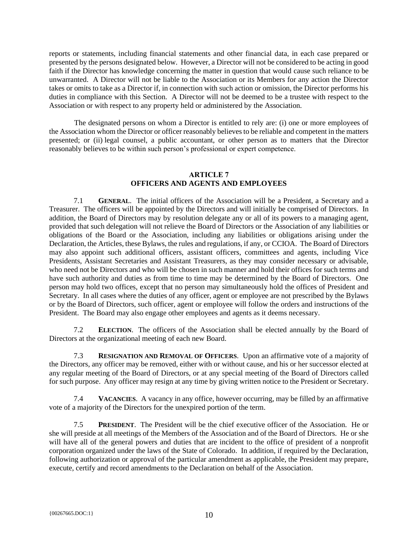reports or statements, including financial statements and other financial data, in each case prepared or presented by the persons designated below. However, a Director will not be considered to be acting in good faith if the Director has knowledge concerning the matter in question that would cause such reliance to be unwarranted. A Director will not be liable to the Association or its Members for any action the Director takes or omits to take as a Director if, in connection with such action or omission, the Director performs his duties in compliance with this Section. A Director will not be deemed to be a trustee with respect to the Association or with respect to any property held or administered by the Association.

The designated persons on whom a Director is entitled to rely are: (i) one or more employees of the Association whom the Director or officer reasonably believes to be reliable and competent in the matters presented; or (ii) legal counsel, a public accountant, or other person as to matters that the Director reasonably believes to be within such person's professional or expert competence.

# **ARTICLE 7 OFFICERS AND AGENTS AND EMPLOYEES**

7.1 **GENERAL**. The initial officers of the Association will be a President, a Secretary and a Treasurer. The officers will be appointed by the Directors and will initially be comprised of Directors. In addition, the Board of Directors may by resolution delegate any or all of its powers to a managing agent, provided that such delegation will not relieve the Board of Directors or the Association of any liabilities or obligations of the Board or the Association, including any liabilities or obligations arising under the Declaration, the Articles, these Bylaws, the rules and regulations, if any, or CCIOA. The Board of Directors may also appoint such additional officers, assistant officers, committees and agents, including Vice Presidents, Assistant Secretaries and Assistant Treasurers, as they may consider necessary or advisable, who need not be Directors and who will be chosen in such manner and hold their offices for such terms and have such authority and duties as from time to time may be determined by the Board of Directors. One person may hold two offices, except that no person may simultaneously hold the offices of President and Secretary. In all cases where the duties of any officer, agent or employee are not prescribed by the Bylaws or by the Board of Directors, such officer, agent or employee will follow the orders and instructions of the President. The Board may also engage other employees and agents as it deems necessary.

**ELECTION**. The officers of the Association shall be elected annually by the Board of Directors at the organizational meeting of each new Board.

7.3 **RESIGNATION AND REMOVAL OF OFFICERS**. Upon an affirmative vote of a majority of the Directors, any officer may be removed, either with or without cause, and his or her successor elected at any regular meeting of the Board of Directors, or at any special meeting of the Board of Directors called for such purpose. Any officer may resign at any time by giving written notice to the President or Secretary.

7.4 **VACANCIES**. A vacancy in any office, however occurring, may be filled by an affirmative vote of a majority of the Directors for the unexpired portion of the term.

7.5 **PRESIDENT**. The President will be the chief executive officer of the Association. He or she will preside at all meetings of the Members of the Association and of the Board of Directors. He or she will have all of the general powers and duties that are incident to the office of president of a nonprofit corporation organized under the laws of the State of Colorado. In addition, if required by the Declaration, following authorization or approval of the particular amendment as applicable, the President may prepare, execute, certify and record amendments to the Declaration on behalf of the Association.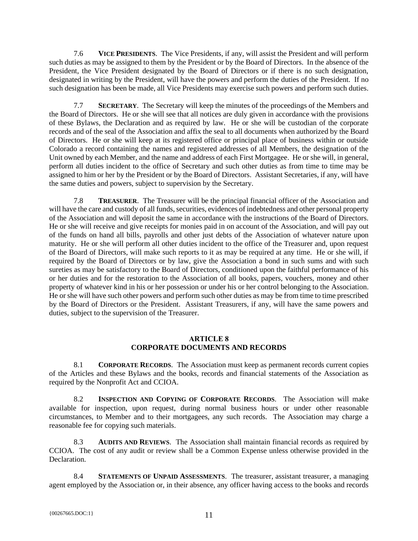7.6 **VICE PRESIDENTS**. The Vice Presidents, if any, will assist the President and will perform such duties as may be assigned to them by the President or by the Board of Directors. In the absence of the President, the Vice President designated by the Board of Directors or if there is no such designation, designated in writing by the President, will have the powers and perform the duties of the President. If no such designation has been be made, all Vice Presidents may exercise such powers and perform such duties.

7.7 **SECRETARY**. The Secretary will keep the minutes of the proceedings of the Members and the Board of Directors. He or she will see that all notices are duly given in accordance with the provisions of these Bylaws, the Declaration and as required by law. He or she will be custodian of the corporate records and of the seal of the Association and affix the seal to all documents when authorized by the Board of Directors. He or she will keep at its registered office or principal place of business within or outside Colorado a record containing the names and registered addresses of all Members, the designation of the Unit owned by each Member, and the name and address of each First Mortgagee. He or she will, in general, perform all duties incident to the office of Secretary and such other duties as from time to time may be assigned to him or her by the President or by the Board of Directors. Assistant Secretaries, if any, will have the same duties and powers, subject to supervision by the Secretary.

7.8 **TREASURER**. The Treasurer will be the principal financial officer of the Association and will have the care and custody of all funds, securities, evidences of indebtedness and other personal property of the Association and will deposit the same in accordance with the instructions of the Board of Directors. He or she will receive and give receipts for monies paid in on account of the Association, and will pay out of the funds on hand all bills, payrolls and other just debts of the Association of whatever nature upon maturity. He or she will perform all other duties incident to the office of the Treasurer and, upon request of the Board of Directors, will make such reports to it as may be required at any time. He or she will, if required by the Board of Directors or by law, give the Association a bond in such sums and with such sureties as may be satisfactory to the Board of Directors, conditioned upon the faithful performance of his or her duties and for the restoration to the Association of all books, papers, vouchers, money and other property of whatever kind in his or her possession or under his or her control belonging to the Association. He or she will have such other powers and perform such other duties as may be from time to time prescribed by the Board of Directors or the President. Assistant Treasurers, if any, will have the same powers and duties, subject to the supervision of the Treasurer.

# **ARTICLE 8 CORPORATE DOCUMENTS AND RECORDS**

8.1 **CORPORATE RECORDS**. The Association must keep as permanent records current copies of the Articles and these Bylaws and the books, records and financial statements of the Association as required by the Nonprofit Act and CCIOA.

8.2 **INSPECTION AND COPYING OF CORPORATE RECORDS**. The Association will make available for inspection, upon request, during normal business hours or under other reasonable circumstances, to Member and to their mortgagees, any such records. The Association may charge a reasonable fee for copying such materials.

8.3 **AUDITS AND REVIEWS**. The Association shall maintain financial records as required by CCIOA. The cost of any audit or review shall be a Common Expense unless otherwise provided in the Declaration.

8.4 **STATEMENTS OF UNPAID ASSESSMENTS**. The treasurer, assistant treasurer, a managing agent employed by the Association or, in their absence, any officer having access to the books and records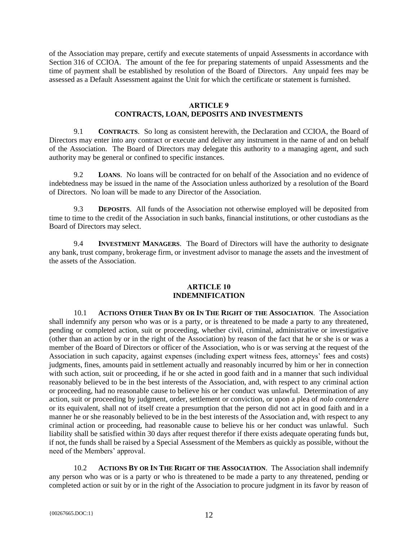of the Association may prepare, certify and execute statements of unpaid Assessments in accordance with Section 316 of CCIOA. The amount of the fee for preparing statements of unpaid Assessments and the time of payment shall be established by resolution of the Board of Directors. Any unpaid fees may be assessed as a Default Assessment against the Unit for which the certificate or statement is furnished.

#### **ARTICLE 9**

# **CONTRACTS, LOAN, DEPOSITS AND INVESTMENTS**

9.1 **CONTRACTS**. So long as consistent herewith, the Declaration and CCIOA, the Board of Directors may enter into any contract or execute and deliver any instrument in the name of and on behalf of the Association. The Board of Directors may delegate this authority to a managing agent, and such authority may be general or confined to specific instances.

9.2 **LOANS**. No loans will be contracted for on behalf of the Association and no evidence of indebtedness may be issued in the name of the Association unless authorized by a resolution of the Board of Directors. No loan will be made to any Director of the Association.

9.3 **DEPOSITS**. All funds of the Association not otherwise employed will be deposited from time to time to the credit of the Association in such banks, financial institutions, or other custodians as the Board of Directors may select.

9.4 **INVESTMENT MANAGERS**. The Board of Directors will have the authority to designate any bank, trust company, brokerage firm, or investment advisor to manage the assets and the investment of the assets of the Association.

#### **ARTICLE 10 INDEMNIFICATION**

<span id="page-11-0"></span>10.1 **ACTIONS OTHER THAN BY OR IN THE RIGHT OF THE ASSOCIATION**. The Association shall indemnify any person who was or is a party, or is threatened to be made a party to any threatened, pending or completed action, suit or proceeding, whether civil, criminal, administrative or investigative (other than an action by or in the right of the Association) by reason of the fact that he or she is or was a member of the Board of Directors or officer of the Association, who is or was serving at the request of the Association in such capacity, against expenses (including expert witness fees, attorneys' fees and costs) judgments, fines, amounts paid in settlement actually and reasonably incurred by him or her in connection with such action, suit or proceeding, if he or she acted in good faith and in a manner that such individual reasonably believed to be in the best interests of the Association, and, with respect to any criminal action or proceeding, had no reasonable cause to believe his or her conduct was unlawful. Determination of any action, suit or proceeding by judgment, order, settlement or conviction, or upon a plea of *nolo contendere* or its equivalent, shall not of itself create a presumption that the person did not act in good faith and in a manner he or she reasonably believed to be in the best interests of the Association and, with respect to any criminal action or proceeding, had reasonable cause to believe his or her conduct was unlawful. Such liability shall be satisfied within 30 days after request therefor if there exists adequate operating funds but, if not, the funds shall be raised by a Special Assessment of the Members as quickly as possible, without the need of the Members' approval.

<span id="page-11-1"></span>10.2 **ACTIONS BY OR IN THE RIGHT OF THE ASSOCIATION**. The Association shall indemnify any person who was or is a party or who is threatened to be made a party to any threatened, pending or completed action or suit by or in the right of the Association to procure judgment in its favor by reason of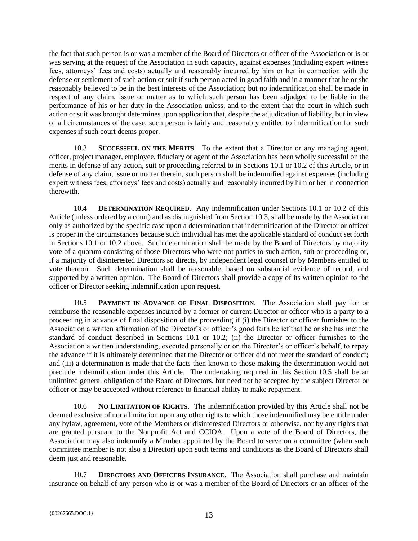the fact that such person is or was a member of the Board of Directors or officer of the Association or is or was serving at the request of the Association in such capacity, against expenses (including expert witness fees, attorneys' fees and costs) actually and reasonably incurred by him or her in connection with the defense or settlement of such action or suit if such person acted in good faith and in a manner that he or she reasonably believed to be in the best interests of the Association; but no indemnification shall be made in respect of any claim, issue or matter as to which such person has been adjudged to be liable in the performance of his or her duty in the Association unless, and to the extent that the court in which such action or suit was brought determines upon application that, despite the adjudication of liability, but in view of all circumstances of the case, such person is fairly and reasonably entitled to indemnification for such expenses if such court deems proper.

<span id="page-12-0"></span>10.3 **SUCCESSFUL ON THE MERITS**. To the extent that a Director or any managing agent, officer, project manager, employee, fiduciary or agent of the Association has been wholly successful on the merits in defense of any action, suit or proceeding referred to in Sections [10.1](#page-11-0) or [10.2](#page-11-1) of this Article, or in defense of any claim, issue or matter therein, such person shall be indemnified against expenses (including expert witness fees, attorneys' fees and costs) actually and reasonably incurred by him or her in connection therewith.

10.4 **DETERMINATION REQUIRED**. Any indemnification under Sections [10.1](#page-11-0) or [10.2](#page-11-1) of this Article (unless ordered by a court) and as distinguished from Section [10.3,](#page-12-0) shall be made by the Association only as authorized by the specific case upon a determination that indemnification of the Director or officer is proper in the circumstances because such individual has met the applicable standard of conduct set forth in Sections [10.1](#page-11-0) or [10.2](#page-11-1) above. Such determination shall be made by the Board of Directors by majority vote of a quorum consisting of those Directors who were not parties to such action, suit or proceeding or, if a majority of disinterested Directors so directs, by independent legal counsel or by Members entitled to vote thereon. Such determination shall be reasonable, based on substantial evidence of record, and supported by a written opinion. The Board of Directors shall provide a copy of its written opinion to the officer or Director seeking indemnification upon request.

<span id="page-12-1"></span>10.5 **PAYMENT IN ADVANCE OF FINAL DISPOSITION**. The Association shall pay for or reimburse the reasonable expenses incurred by a former or current Director or officer who is a party to a proceeding in advance of final disposition of the proceeding if (i) the Director or officer furnishes to the Association a written affirmation of the Director's or officer's good faith belief that he or she has met the standard of conduct described in Sections [10.1](#page-11-0) or [10.2;](#page-11-1) (ii) the Director or officer furnishes to the Association a written understanding, executed personally or on the Director's or officer's behalf, to repay the advance if it is ultimately determined that the Director or officer did not meet the standard of conduct; and (iii) a determination is made that the facts then known to those making the determination would not preclude indemnification under this Article. The undertaking required in this Section [10.5](#page-12-1) shall be an unlimited general obligation of the Board of Directors, but need not be accepted by the subject Director or officer or may be accepted without reference to financial ability to make repayment.

10.6 **NO LIMITATION OF RIGHTS**. The indemnification provided by this Article shall not be deemed exclusive of nor a limitation upon any other rights to which those indemnified may be entitle under any bylaw, agreement, vote of the Members or disinterested Directors or otherwise, nor by any rights that are granted pursuant to the Nonprofit Act and CCIOA. Upon a vote of the Board of Directors, the Association may also indemnify a Member appointed by the Board to serve on a committee (when such committee member is not also a Director) upon such terms and conditions as the Board of Directors shall deem just and reasonable.

10.7 **DIRECTORS AND OFFICERS INSURANCE**. The Association shall purchase and maintain insurance on behalf of any person who is or was a member of the Board of Directors or an officer of the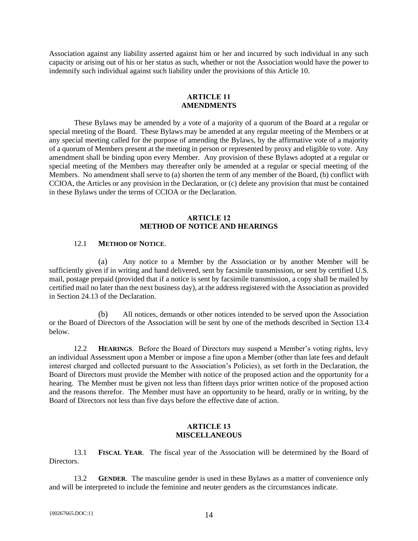Association against any liability asserted against him or her and incurred by such individual in any such capacity or arising out of his or her status as such, whether or not the Association would have the power to indemnify such individual against such liability under the provisions of this Article 10.

## **ARTICLE 11 AMENDMENTS**

These Bylaws may be amended by a vote of a majority of a quorum of the Board at a regular or special meeting of the Board. These Bylaws may be amended at any regular meeting of the Members or at any special meeting called for the purpose of amending the Bylaws, by the affirmative vote of a majority of a quorum of Members present at the meeting in person or represented by proxy and eligible to vote. Any amendment shall be binding upon every Member. Any provision of these Bylaws adopted at a regular or special meeting of the Members may thereafter only be amended at a regular or special meeting of the Members. No amendment shall serve to (a) shorten the term of any member of the Board, (b) conflict with CCIOA, the Articles or any provision in the Declaration, or (c) delete any provision that must be contained in these Bylaws under the terms of CCIOA or the Declaration.

# **ARTICLE 12 METHOD OF NOTICE AND HEARINGS**

## 12.1 **METHOD OF NOTICE**.

<span id="page-13-0"></span>(a) Any notice to a Member by the Association or by another Member will be sufficiently given if in writing and hand delivered, sent by facsimile transmission, or sent by certified U.S. mail, postage prepaid (provided that if a notice is sent by facsimile transmission, a copy shall be mailed by certified mail no later than the next business day), at the address registered with the Association as provided in Section 24.13 of the Declaration.

(b) All notices, demands or other notices intended to be served upon the Association or the Board of Directors of the Association will be sent by one of the methods described in Section [13.4](#page-14-0) below.

12.2 **HEARINGS**. Before the Board of Directors may suspend a Member's voting rights, levy an individual Assessment upon a Member or impose a fine upon a Member (other than late fees and default interest charged and collected pursuant to the Association's Policies), as set forth in the Declaration, the Board of Directors must provide the Member with notice of the proposed action and the opportunity for a hearing. The Member must be given not less than fifteen days prior written notice of the proposed action and the reasons therefor. The Member must have an opportunity to be heard, orally or in writing, by the Board of Directors not less than five days before the effective date of action.

## **ARTICLE 13 MISCELLANEOUS**

13.1 **FISCAL YEAR**. The fiscal year of the Association will be determined by the Board of Directors.

13.2 **GENDER**. The masculine gender is used in these Bylaws as a matter of convenience only and will be interpreted to include the feminine and neuter genders as the circumstances indicate.